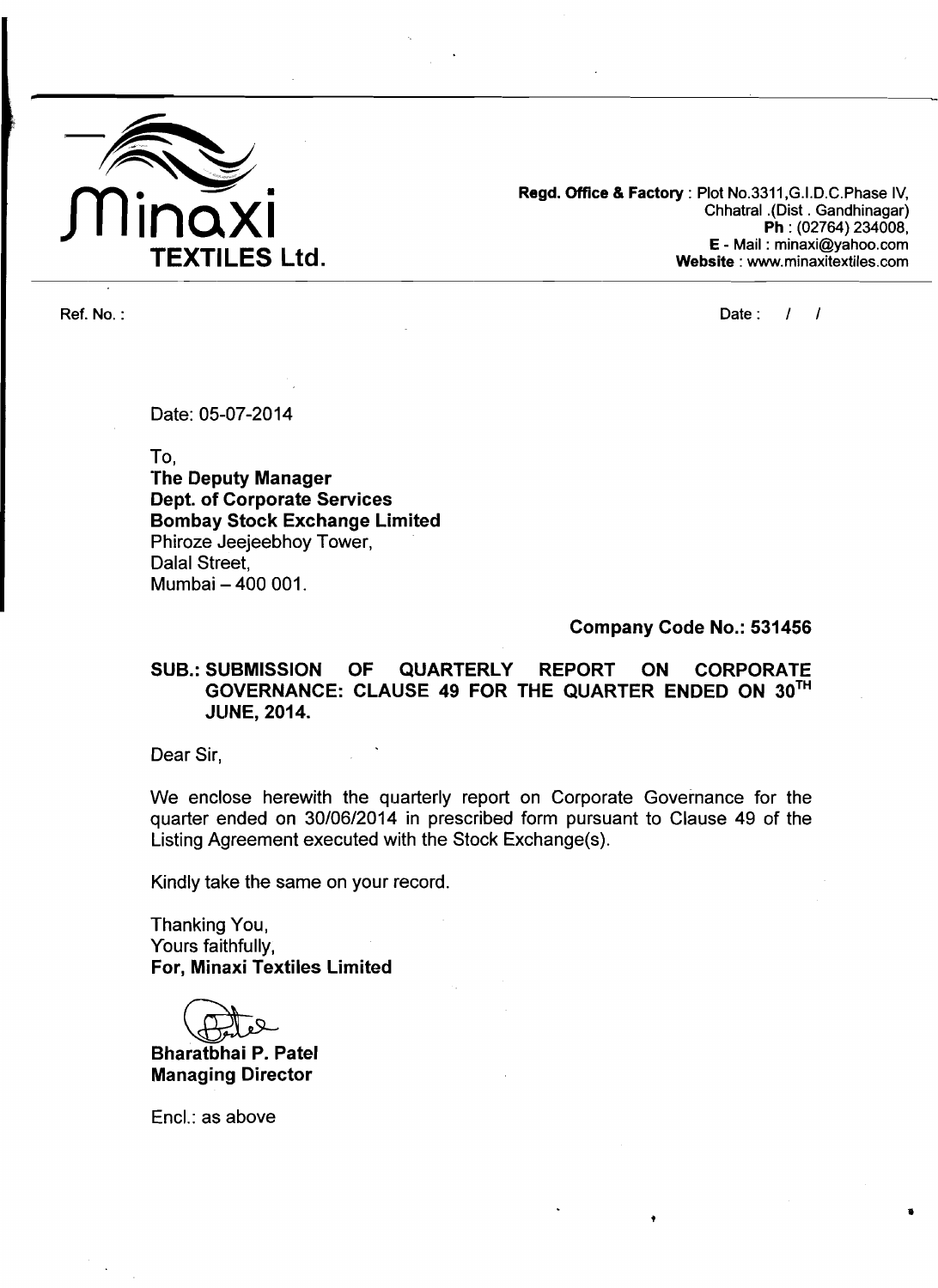

**Regd. Office** & **Factory** : **Plot No.3311,G.I.D.C.Phase IV, Chhatral .(Dist** . **Gandhinagar) Ph** : **(02764) 234008, E** - **Mail** : **minaxi@yahoo.com Website** : **www.minaxitextiles.com** 

**Ref. No. : Date :** I I

Date: 05-07-2014

To,

**'The Deputy Manager Dept. of Corporate Services Bombay Stock Exchange Limited**  Phiroze Jeejeebhoy Tower, Dalal Street, Mumbai - 400 001.

**Company Code No.: 531456** 

**SUB.: SUBMISSION OF QUARTERLY REPORT ON CORPORATE GOVERNANCE: CLAUSE 49 FOR THE QUARTER ENDED ON 3oTH JLINE, 2014.** 

Dear Sir,

We enclose herewith the quarterly report on Corporate Governance for the quarter ended on 30/06/2014 in prescribed form pursuant to Clause 49 of the Listing Agreement executed with the Stock Exchange(s).

Kindly take the same on your record.

Thanking You, Yours faithfully, **For, Minaxi Textiles Limited** 

**Bharatbhai P. Patel Managing Director** 

Encl.: as above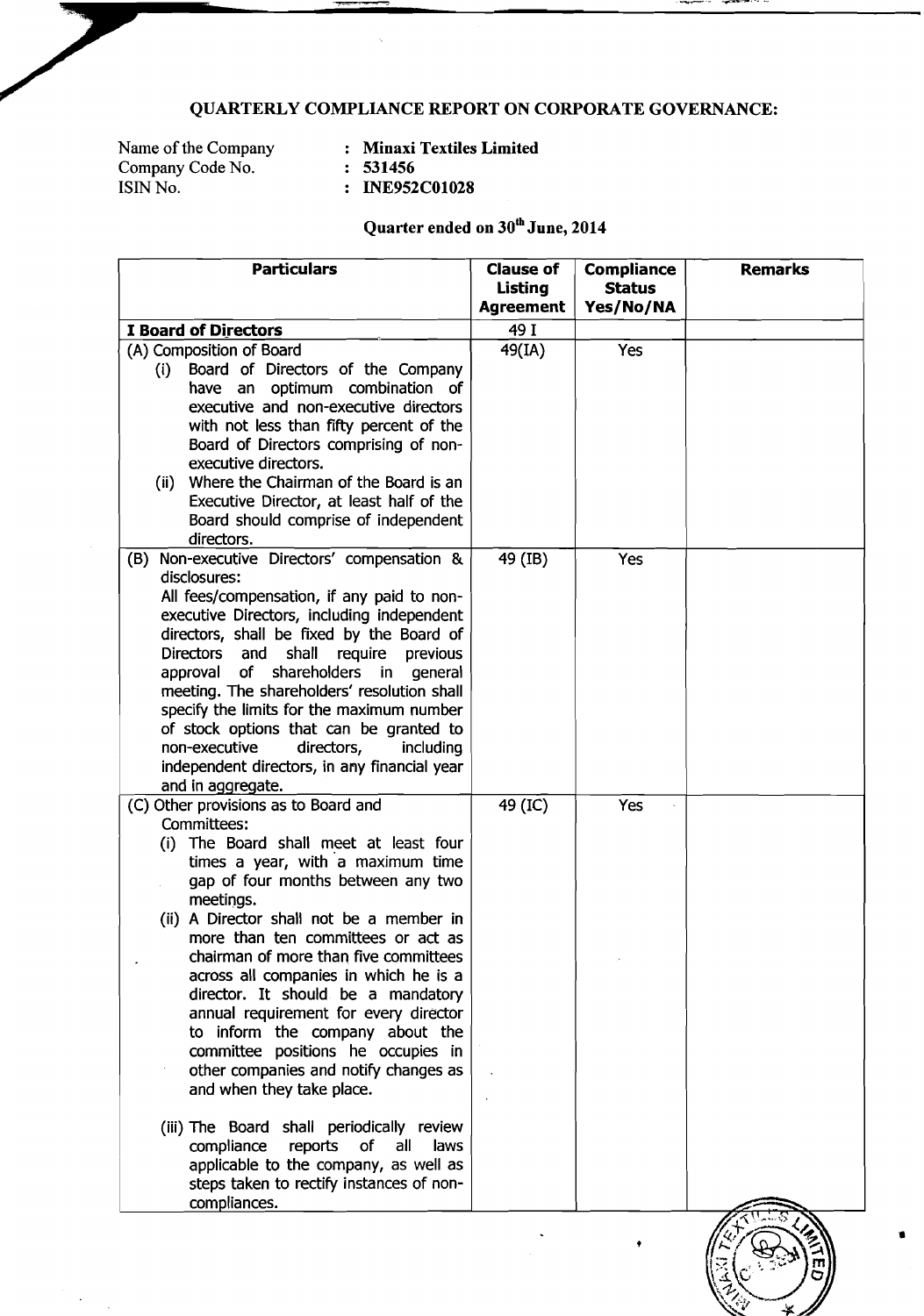## **QUARTERLY COMPLIANCE REPORT ON CORPORATE GOVERNANCE:**

Name of the Company (1988)<br>Company Code No. (1988): 1984<br>
1985 **ISIN No. ISIN No. ISIN 1988**<br>**ISIN No. 1999 ISIN No. 1999** 

 $\ddot{\phantom{a}}$ 

Name of the Company : **Minaxi Textiles Limited** 

- 
- 

## Quarter ended on  $30<sup>th</sup>$  June, 2014

| <b>Particulars</b>                                                                          | <b>Clause of</b><br><b>Listing</b> | <b>Compliance</b><br><b>Status</b> | <b>Remarks</b> |
|---------------------------------------------------------------------------------------------|------------------------------------|------------------------------------|----------------|
|                                                                                             | <b>Agreement</b>                   | Yes/No/NA                          |                |
| <b>I Board of Directors</b>                                                                 | 49 I                               |                                    |                |
| (A) Composition of Board                                                                    | 49(IA)                             | Yes                                |                |
| Board of Directors of the Company<br>(i)                                                    |                                    |                                    |                |
| have an optimum combination of                                                              |                                    |                                    |                |
| executive and non-executive directors                                                       |                                    |                                    |                |
| with not less than fifty percent of the                                                     |                                    |                                    |                |
| Board of Directors comprising of non-                                                       |                                    |                                    |                |
| executive directors.<br>(ii) Where the Chairman of the Board is an                          |                                    |                                    |                |
| Executive Director, at least half of the                                                    |                                    |                                    |                |
| Board should comprise of independent                                                        |                                    |                                    |                |
| directors.                                                                                  |                                    |                                    |                |
| Non-executive Directors' compensation &<br>(B)                                              | 49 (IB)                            | Yes                                |                |
| disclosures:                                                                                |                                    |                                    |                |
| All fees/compensation, if any paid to non-                                                  |                                    |                                    |                |
| executive Directors, including independent                                                  |                                    |                                    |                |
| directors, shall be fixed by the Board of                                                   |                                    |                                    |                |
| shall<br>require<br><b>Directors</b><br>and<br>previous                                     |                                    |                                    |                |
| shareholders<br>approval<br>of<br>in general<br>meeting. The shareholders' resolution shall |                                    |                                    |                |
| specify the limits for the maximum number                                                   |                                    |                                    |                |
| of stock options that can be granted to                                                     |                                    |                                    |                |
| non-executive<br>directors,<br><i>including</i>                                             |                                    |                                    |                |
| independent directors, in any financial year                                                |                                    |                                    |                |
| and in aggregate.                                                                           |                                    |                                    |                |
| (C) Other provisions as to Board and                                                        | 49 (IC)                            | Yes                                |                |
| Committees:                                                                                 |                                    |                                    |                |
| The Board shall meet at least four<br>(i)                                                   |                                    |                                    |                |
| times a year, with a maximum time<br>gap of four months between any two                     |                                    |                                    |                |
| meetings.                                                                                   |                                    |                                    |                |
| (ii) A Director shall not be a member in                                                    |                                    |                                    |                |
| more than ten committees or act as                                                          |                                    |                                    |                |
| chairman of more than five committees                                                       |                                    |                                    |                |
| across all companies in which he is a                                                       |                                    |                                    |                |
| director. It should be a mandatory                                                          |                                    |                                    |                |
| annual requirement for every director                                                       |                                    |                                    |                |
| to inform the company about the                                                             |                                    |                                    |                |
| committee positions he occupies in                                                          |                                    |                                    |                |
| other companies and notify changes as<br>and when they take place.                          |                                    |                                    |                |
|                                                                                             |                                    |                                    |                |
| (iii) The Board shall periodically review                                                   |                                    |                                    |                |
| reports<br>of<br>compliance<br>all<br>laws                                                  |                                    |                                    |                |
| applicable to the company, as well as                                                       |                                    |                                    |                |
| steps taken to rectify instances of non-                                                    |                                    |                                    |                |
| compliances.                                                                                |                                    |                                    |                |

\*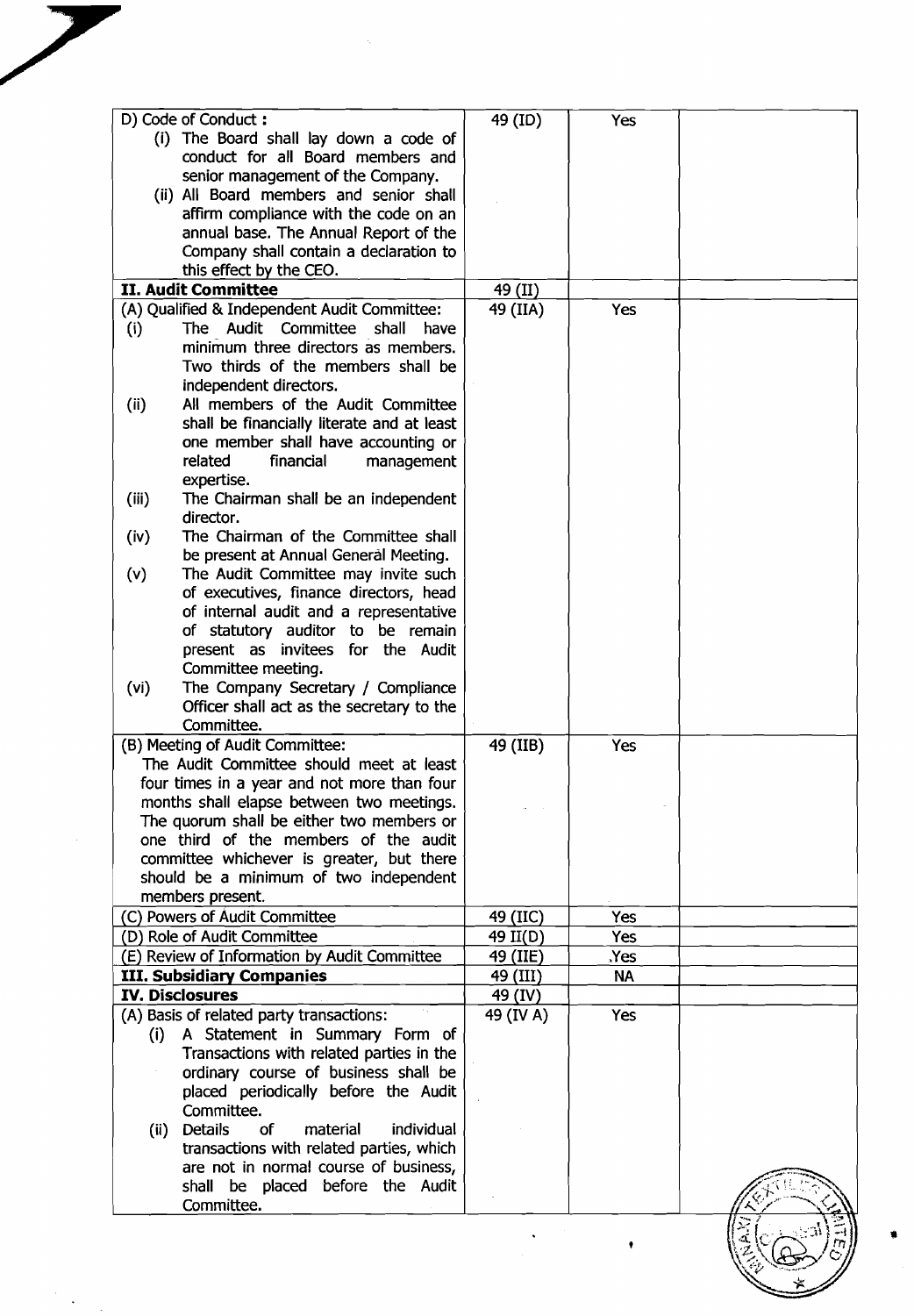| D) Code of Conduct:                                    | 49 (ID)   | Yes        |  |
|--------------------------------------------------------|-----------|------------|--|
| (i) The Board shall lay down a code of                 |           |            |  |
| conduct for all Board members and                      |           |            |  |
|                                                        |           |            |  |
| senior management of the Company.                      |           |            |  |
| (ii) All Board members and senior shall                |           |            |  |
| affirm compliance with the code on an                  |           |            |  |
| annual base. The Annual Report of the                  |           |            |  |
| Company shall contain a declaration to                 |           |            |  |
|                                                        |           |            |  |
| this effect by the CEO.                                |           |            |  |
| <b>II. Audit Committee</b>                             | 49 (II)   |            |  |
| (A) Qualified & Independent Audit Committee:           | 49 (IIA)  | <b>Yes</b> |  |
| The Audit Committee shall<br>(i)<br>have               |           |            |  |
| minimum three directors as members.                    |           |            |  |
|                                                        |           |            |  |
| Two thirds of the members shall be                     |           |            |  |
| independent directors.                                 |           |            |  |
| All members of the Audit Committee<br>(ii)             |           |            |  |
| shall be financially literate and at least             |           |            |  |
| one member shall have accounting or                    |           |            |  |
| related<br>financial                                   |           |            |  |
| management                                             |           |            |  |
| expertise.                                             |           |            |  |
| (iii)<br>The Chairman shall be an independent          |           |            |  |
| director.                                              |           |            |  |
| The Chairman of the Committee shall<br>(iv)            |           |            |  |
| be present at Annual General Meeting.                  |           |            |  |
|                                                        |           |            |  |
| (v)<br>The Audit Committee may invite such             |           |            |  |
| of executives, finance directors, head                 |           |            |  |
| of internal audit and a representative                 |           |            |  |
| of statutory auditor to be remain                      |           |            |  |
| present as invitees for the Audit                      |           |            |  |
|                                                        |           |            |  |
| Committee meeting.                                     |           |            |  |
| The Company Secretary / Compliance<br>(vi)             |           |            |  |
| Officer shall act as the secretary to the              |           |            |  |
| Committee.                                             |           |            |  |
| (B) Meeting of Audit Committee:                        | 49 (IIB)  | Yes        |  |
|                                                        |           |            |  |
| The Audit Committee should meet at least               |           |            |  |
| four times in a year and not more than four            |           |            |  |
| months shall elapse between two meetings.              |           |            |  |
| The quorum shall be either two members or              |           |            |  |
| one third of the members of the audit                  |           |            |  |
| committee whichever is greater, but there              |           |            |  |
|                                                        |           |            |  |
| should be a minimum of two independent                 |           |            |  |
| members present.                                       |           |            |  |
| (C) Powers of Audit Committee                          | 49 (IIC)  | Yes        |  |
| (D) Role of Audit Committee                            | 49 II(D)  | Yes        |  |
|                                                        |           |            |  |
| (E) Review of Information by Audit Committee           | 49 (IIE)  | Yes.       |  |
| <b>III. Subsidiary Companies</b>                       | 49 (III)  | <b>NA</b>  |  |
| <b>IV. Disclosures</b>                                 | 49 (IV)   |            |  |
| (A) Basis of related party transactions:               | 49 (IV A) | <b>Yes</b> |  |
| A Statement in Summary Form of<br>(i)                  |           |            |  |
|                                                        |           |            |  |
| Transactions with related parties in the               |           |            |  |
| ordinary course of business shall be                   |           |            |  |
| placed periodically before the Audit                   |           |            |  |
| Committee.                                             |           |            |  |
| of<br><b>Details</b><br>material<br>individual<br>(ii) |           |            |  |
| transactions with related parties, which               |           |            |  |
|                                                        |           |            |  |
| are not in normal course of business,                  |           |            |  |
| shall be placed before the Audit                       |           |            |  |
| Committee.                                             |           |            |  |
|                                                        |           |            |  |
|                                                        |           |            |  |
|                                                        |           |            |  |
|                                                        |           |            |  |
|                                                        |           |            |  |

 $\frac{1}{2}$